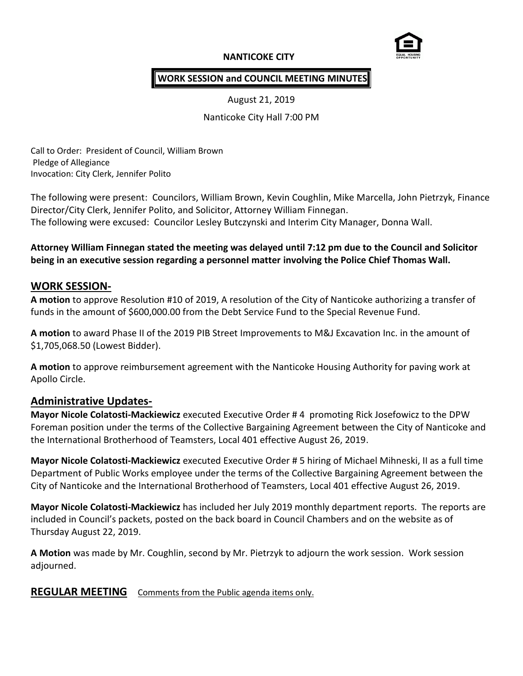### **NANTICOKE CITY**



#### **WORK SESSION and COUNCIL MEETING MINUTES**

August 21, 2019

Nanticoke City Hall 7:00 PM

Call to Order: President of Council, William Brown Pledge of Allegiance Invocation: City Clerk, Jennifer Polito

The following were present: Councilors, William Brown, Kevin Coughlin, Mike Marcella, John Pietrzyk, Finance Director/City Clerk, Jennifer Polito, and Solicitor, Attorney William Finnegan. The following were excused: Councilor Lesley Butczynski and Interim City Manager, Donna Wall.

**Attorney William Finnegan stated the meeting was delayed until 7:12 pm due to the Council and Solicitor being in an executive session regarding a personnel matter involving the Police Chief Thomas Wall.**

#### **WORK SESSION-**

**A motion** to approve Resolution #10 of 2019, A resolution of the City of Nanticoke authorizing a transfer of funds in the amount of \$600,000.00 from the Debt Service Fund to the Special Revenue Fund.

**A motion** to award Phase II of the 2019 PIB Street Improvements to M&J Excavation Inc. in the amount of \$1,705,068.50 (Lowest Bidder).

**A motion** to approve reimbursement agreement with the Nanticoke Housing Authority for paving work at Apollo Circle.

### **Administrative Updates-**

**Mayor Nicole Colatosti-Mackiewicz** executed Executive Order # 4 promoting Rick Josefowicz to the DPW Foreman position under the terms of the Collective Bargaining Agreement between the City of Nanticoke and the International Brotherhood of Teamsters, Local 401 effective August 26, 2019.

**Mayor Nicole Colatosti-Mackiewicz** executed Executive Order # 5 hiring of Michael Mihneski, II as a full time Department of Public Works employee under the terms of the Collective Bargaining Agreement between the City of Nanticoke and the International Brotherhood of Teamsters, Local 401 effective August 26, 2019.

**Mayor Nicole Colatosti-Mackiewicz** has included her July 2019 monthly department reports. The reports are included in Council's packets, posted on the back board in Council Chambers and on the website as of Thursday August 22, 2019.

**A Motion** was made by Mr. Coughlin, second by Mr. Pietrzyk to adjourn the work session. Work session adjourned.

**REGULAR MEETING** Comments from the Public agenda items only.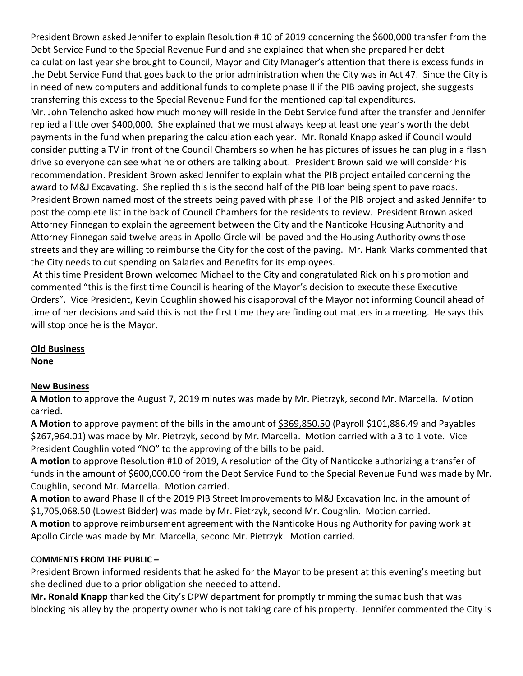President Brown asked Jennifer to explain Resolution # 10 of 2019 concerning the \$600,000 transfer from the Debt Service Fund to the Special Revenue Fund and she explained that when she prepared her debt calculation last year she brought to Council, Mayor and City Manager's attention that there is excess funds in the Debt Service Fund that goes back to the prior administration when the City was in Act 47. Since the City is in need of new computers and additional funds to complete phase II if the PIB paving project, she suggests transferring this excess to the Special Revenue Fund for the mentioned capital expenditures. Mr. John Telencho asked how much money will reside in the Debt Service fund after the transfer and Jennifer replied a little over \$400,000. She explained that we must always keep at least one year's worth the debt payments in the fund when preparing the calculation each year. Mr. Ronald Knapp asked if Council would consider putting a TV in front of the Council Chambers so when he has pictures of issues he can plug in a flash drive so everyone can see what he or others are talking about. President Brown said we will consider his recommendation. President Brown asked Jennifer to explain what the PIB project entailed concerning the award to M&J Excavating. She replied this is the second half of the PIB loan being spent to pave roads. President Brown named most of the streets being paved with phase II of the PIB project and asked Jennifer to post the complete list in the back of Council Chambers for the residents to review. President Brown asked Attorney Finnegan to explain the agreement between the City and the Nanticoke Housing Authority and Attorney Finnegan said twelve areas in Apollo Circle will be paved and the Housing Authority owns those streets and they are willing to reimburse the City for the cost of the paving. Mr. Hank Marks commented that the City needs to cut spending on Salaries and Benefits for its employees.

At this time President Brown welcomed Michael to the City and congratulated Rick on his promotion and commented "this is the first time Council is hearing of the Mayor's decision to execute these Executive Orders". Vice President, Kevin Coughlin showed his disapproval of the Mayor not informing Council ahead of time of her decisions and said this is not the first time they are finding out matters in a meeting. He says this will stop once he is the Mayor.

# **Old Business**

**None**

# **New Business**

**A Motion** to approve the August 7, 2019 minutes was made by Mr. Pietrzyk, second Mr. Marcella. Motion carried.

**A Motion** to approve payment of the bills in the amount of \$369,850.50 (Payroll \$101,886.49 and Payables \$267,964.01) was made by Mr. Pietrzyk, second by Mr. Marcella. Motion carried with a 3 to 1 vote. Vice President Coughlin voted "NO" to the approving of the bills to be paid.

**A motion** to approve Resolution #10 of 2019, A resolution of the City of Nanticoke authorizing a transfer of funds in the amount of \$600,000.00 from the Debt Service Fund to the Special Revenue Fund was made by Mr. Coughlin, second Mr. Marcella. Motion carried.

**A motion** to award Phase II of the 2019 PIB Street Improvements to M&J Excavation Inc. in the amount of \$1,705,068.50 (Lowest Bidder) was made by Mr. Pietrzyk, second Mr. Coughlin. Motion carried.

**A motion** to approve reimbursement agreement with the Nanticoke Housing Authority for paving work at Apollo Circle was made by Mr. Marcella, second Mr. Pietrzyk. Motion carried.

# **COMMENTS FROM THE PUBLIC –**

President Brown informed residents that he asked for the Mayor to be present at this evening's meeting but she declined due to a prior obligation she needed to attend.

**Mr. Ronald Knapp** thanked the City's DPW department for promptly trimming the sumac bush that was blocking his alley by the property owner who is not taking care of his property. Jennifer commented the City is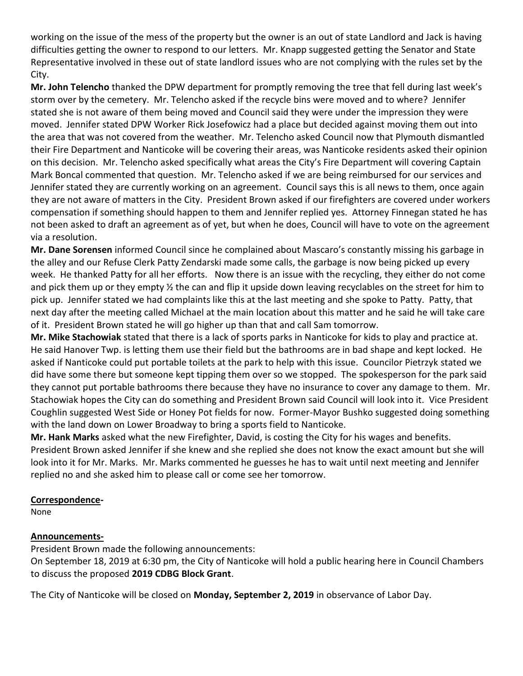working on the issue of the mess of the property but the owner is an out of state Landlord and Jack is having difficulties getting the owner to respond to our letters. Mr. Knapp suggested getting the Senator and State Representative involved in these out of state landlord issues who are not complying with the rules set by the City.

**Mr. John Telencho** thanked the DPW department for promptly removing the tree that fell during last week's storm over by the cemetery. Mr. Telencho asked if the recycle bins were moved and to where? Jennifer stated she is not aware of them being moved and Council said they were under the impression they were moved. Jennifer stated DPW Worker Rick Josefowicz had a place but decided against moving them out into the area that was not covered from the weather. Mr. Telencho asked Council now that Plymouth dismantled their Fire Department and Nanticoke will be covering their areas, was Nanticoke residents asked their opinion on this decision. Mr. Telencho asked specifically what areas the City's Fire Department will covering Captain Mark Boncal commented that question. Mr. Telencho asked if we are being reimbursed for our services and Jennifer stated they are currently working on an agreement. Council says this is all news to them, once again they are not aware of matters in the City. President Brown asked if our firefighters are covered under workers compensation if something should happen to them and Jennifer replied yes. Attorney Finnegan stated he has not been asked to draft an agreement as of yet, but when he does, Council will have to vote on the agreement via a resolution.

**Mr. Dane Sorensen** informed Council since he complained about Mascaro's constantly missing his garbage in the alley and our Refuse Clerk Patty Zendarski made some calls, the garbage is now being picked up every week. He thanked Patty for all her efforts. Now there is an issue with the recycling, they either do not come and pick them up or they empty ½ the can and flip it upside down leaving recyclables on the street for him to pick up. Jennifer stated we had complaints like this at the last meeting and she spoke to Patty. Patty, that next day after the meeting called Michael at the main location about this matter and he said he will take care of it. President Brown stated he will go higher up than that and call Sam tomorrow.

**Mr. Mike Stachowiak** stated that there is a lack of sports parks in Nanticoke for kids to play and practice at. He said Hanover Twp. is letting them use their field but the bathrooms are in bad shape and kept locked. He asked if Nanticoke could put portable toilets at the park to help with this issue. Councilor Pietrzyk stated we did have some there but someone kept tipping them over so we stopped. The spokesperson for the park said they cannot put portable bathrooms there because they have no insurance to cover any damage to them. Mr. Stachowiak hopes the City can do something and President Brown said Council will look into it. Vice President Coughlin suggested West Side or Honey Pot fields for now. Former-Mayor Bushko suggested doing something with the land down on Lower Broadway to bring a sports field to Nanticoke.

**Mr. Hank Marks** asked what the new Firefighter, David, is costing the City for his wages and benefits. President Brown asked Jennifer if she knew and she replied she does not know the exact amount but she will look into it for Mr. Marks. Mr. Marks commented he guesses he has to wait until next meeting and Jennifer replied no and she asked him to please call or come see her tomorrow.

### **Correspondence-**

None

### **Announcements-**

President Brown made the following announcements:

On September 18, 2019 at 6:30 pm, the City of Nanticoke will hold a public hearing here in Council Chambers to discuss the proposed **2019 CDBG Block Grant**.

The City of Nanticoke will be closed on **Monday, September 2, 2019** in observance of Labor Day.